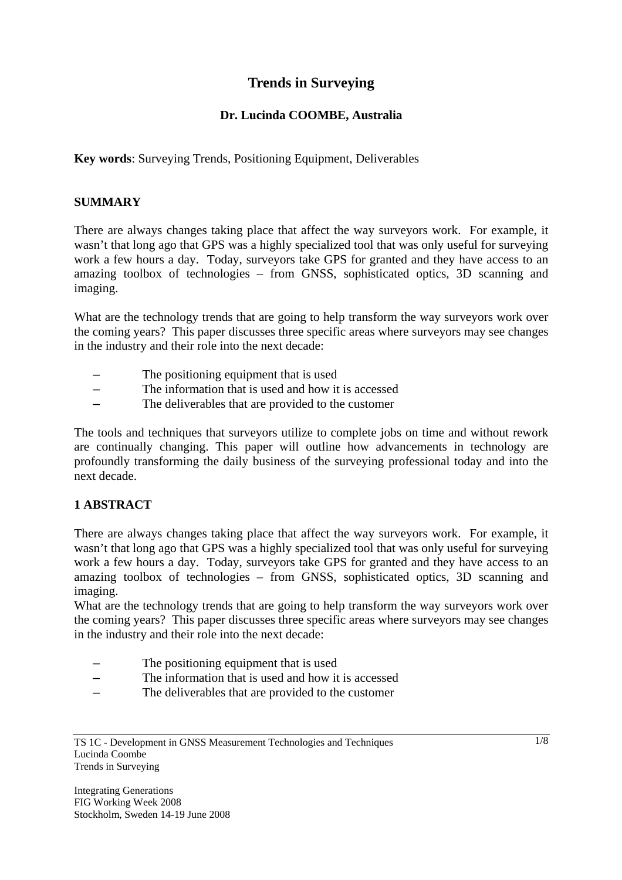# **Trends in Surveying**

## **Dr. Lucinda COOMBE, Australia**

**Key words**: Surveying Trends, Positioning Equipment, Deliverables

### **SUMMARY**

There are always changes taking place that affect the way surveyors work. For example, it wasn't that long ago that GPS was a highly specialized tool that was only useful for surveying work a few hours a day. Today, surveyors take GPS for granted and they have access to an amazing toolbox of technologies – from GNSS, sophisticated optics, 3D scanning and imaging.

What are the technology trends that are going to help transform the way surveyors work over the coming years? This paper discusses three specific areas where surveyors may see changes in the industry and their role into the next decade:

- The positioning equipment that is used
- The information that is used and how it is accessed
- The deliverables that are provided to the customer

The tools and techniques that surveyors utilize to complete jobs on time and without rework are continually changing. This paper will outline how advancements in technology are profoundly transforming the daily business of the surveying professional today and into the next decade.

### **1 ABSTRACT**

There are always changes taking place that affect the way surveyors work. For example, it wasn't that long ago that GPS was a highly specialized tool that was only useful for surveying work a few hours a day. Today, surveyors take GPS for granted and they have access to an amazing toolbox of technologies – from GNSS, sophisticated optics, 3D scanning and imaging.

What are the technology trends that are going to help transform the way surveyors work over the coming years? This paper discusses three specific areas where surveyors may see changes in the industry and their role into the next decade:

- The positioning equipment that is used
- The information that is used and how it is accessed
- The deliverables that are provided to the customer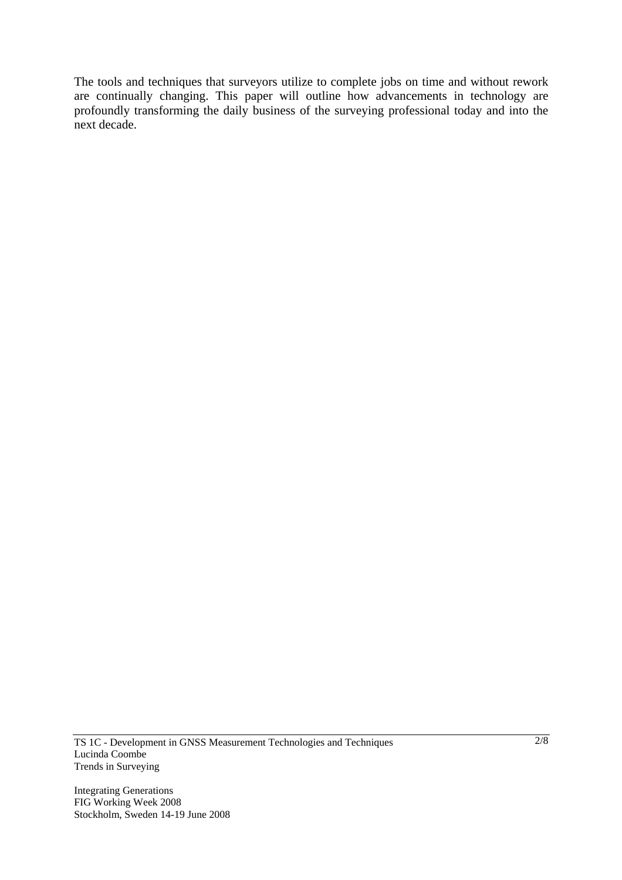The tools and techniques that surveyors utilize to complete jobs on time and without rework are continually changing. This paper will outline how advancements in technology are profoundly transforming the daily business of the surveying professional today and into the next decade.

TS 1C - Development in GNSS Measurement Technologies and Techniques Lucinda Coombe Trends in Surveying

Integrating Generations FIG Working Week 2008 Stockholm, Sweden 14-19 June 2008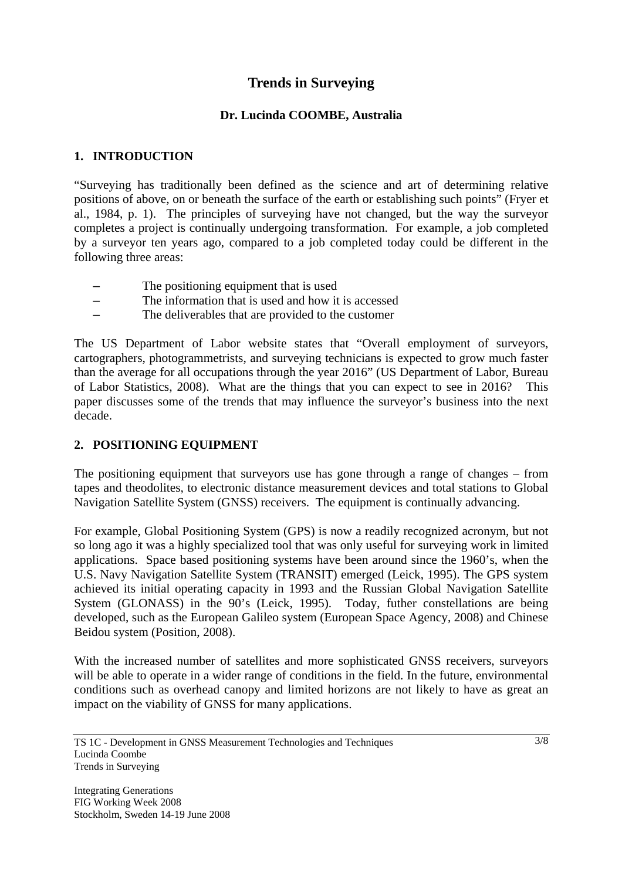# **Trends in Surveying**

## **Dr. Lucinda COOMBE, Australia**

### **1. INTRODUCTION**

"Surveying has traditionally been defined as the science and art of determining relative positions of above, on or beneath the surface of the earth or establishing such points" (Fryer et al., 1984, p. 1). The principles of surveying have not changed, but the way the surveyor completes a project is continually undergoing transformation. For example, a job completed by a surveyor ten years ago, compared to a job completed today could be different in the following three areas:

- The positioning equipment that is used
- The information that is used and how it is accessed
- The deliverables that are provided to the customer

The US Department of Labor website states that "Overall employment of surveyors, cartographers, photogrammetrists, and surveying technicians is expected to grow much faster than the average for all occupations through the year 2016" (US Department of Labor, Bureau of Labor Statistics, 2008). What are the things that you can expect to see in 2016? This paper discusses some of the trends that may influence the surveyor's business into the next decade.

# **2. POSITIONING EQUIPMENT**

The positioning equipment that surveyors use has gone through a range of changes – from tapes and theodolites, to electronic distance measurement devices and total stations to Global Navigation Satellite System (GNSS) receivers. The equipment is continually advancing.

For example, Global Positioning System (GPS) is now a readily recognized acronym, but not so long ago it was a highly specialized tool that was only useful for surveying work in limited applications. Space based positioning systems have been around since the 1960's, when the U.S. Navy Navigation Satellite System (TRANSIT) emerged (Leick, 1995). The GPS system achieved its initial operating capacity in 1993 and the Russian Global Navigation Satellite System (GLONASS) in the 90's (Leick, 1995). Today, futher constellations are being developed, such as the European Galileo system (European Space Agency, 2008) and Chinese Beidou system (Position, 2008).

With the increased number of satellites and more sophisticated GNSS receivers, surveyors will be able to operate in a wider range of conditions in the field. In the future, environmental conditions such as overhead canopy and limited horizons are not likely to have as great an impact on the viability of GNSS for many applications.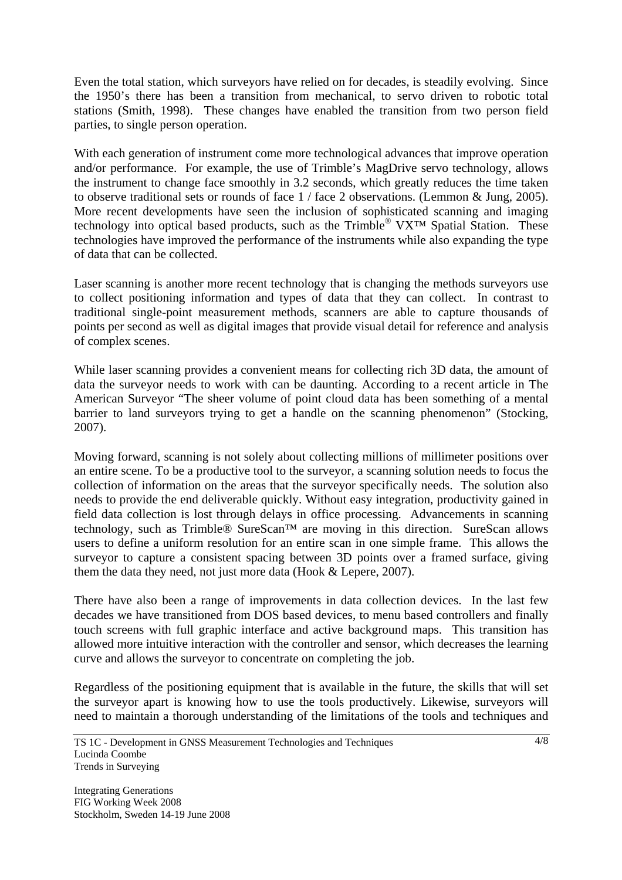Even the total station, which surveyors have relied on for decades, is steadily evolving. Since the 1950's there has been a transition from mechanical, to servo driven to robotic total stations (Smith, 1998). These changes have enabled the transition from two person field parties, to single person operation.

With each generation of instrument come more technological advances that improve operation and/or performance. For example, the use of Trimble's MagDrive servo technology, allows the instrument to change face smoothly in 3.2 seconds, which greatly reduces the time taken to observe traditional sets or rounds of face 1 / face 2 observations. (Lemmon & Jung, 2005). More recent developments have seen the inclusion of sophisticated scanning and imaging technology into optical based products, such as the Trimble<sup>®</sup> VX<sup>™</sup> Spatial Station. These technologies have improved the performance of the instruments while also expanding the type of data that can be collected.

Laser scanning is another more recent technology that is changing the methods surveyors use to collect positioning information and types of data that they can collect. In contrast to traditional single-point measurement methods, scanners are able to capture thousands of points per second as well as digital images that provide visual detail for reference and analysis of complex scenes.

While laser scanning provides a convenient means for collecting rich 3D data, the amount of data the surveyor needs to work with can be daunting. According to a recent article in The American Surveyor "The sheer volume of point cloud data has been something of a mental barrier to land surveyors trying to get a handle on the scanning phenomenon" (Stocking, 2007).

Moving forward, scanning is not solely about collecting millions of millimeter positions over an entire scene. To be a productive tool to the surveyor, a scanning solution needs to focus the collection of information on the areas that the surveyor specifically needs. The solution also needs to provide the end deliverable quickly. Without easy integration, productivity gained in field data collection is lost through delays in office processing. Advancements in scanning technology, such as Trimble® SureScan™ are moving in this direction. SureScan allows users to define a uniform resolution for an entire scan in one simple frame. This allows the surveyor to capture a consistent spacing between 3D points over a framed surface, giving them the data they need, not just more data (Hook & Lepere, 2007).

There have also been a range of improvements in data collection devices. In the last few decades we have transitioned from DOS based devices, to menu based controllers and finally touch screens with full graphic interface and active background maps. This transition has allowed more intuitive interaction with the controller and sensor, which decreases the learning curve and allows the surveyor to concentrate on completing the job.

Regardless of the positioning equipment that is available in the future, the skills that will set the surveyor apart is knowing how to use the tools productively. Likewise, surveyors will need to maintain a thorough understanding of the limitations of the tools and techniques and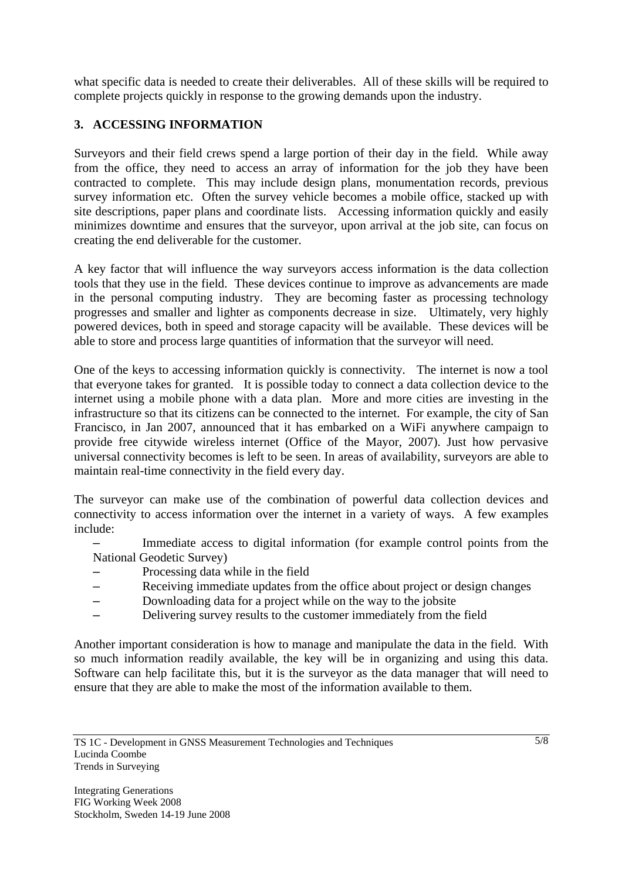what specific data is needed to create their deliverables. All of these skills will be required to complete projects quickly in response to the growing demands upon the industry.

# **3. ACCESSING INFORMATION**

Surveyors and their field crews spend a large portion of their day in the field. While away from the office, they need to access an array of information for the job they have been contracted to complete. This may include design plans, monumentation records, previous survey information etc. Often the survey vehicle becomes a mobile office, stacked up with site descriptions, paper plans and coordinate lists. Accessing information quickly and easily minimizes downtime and ensures that the surveyor, upon arrival at the job site, can focus on creating the end deliverable for the customer.

A key factor that will influence the way surveyors access information is the data collection tools that they use in the field. These devices continue to improve as advancements are made in the personal computing industry. They are becoming faster as processing technology progresses and smaller and lighter as components decrease in size. Ultimately, very highly powered devices, both in speed and storage capacity will be available. These devices will be able to store and process large quantities of information that the surveyor will need.

One of the keys to accessing information quickly is connectivity. The internet is now a tool that everyone takes for granted. It is possible today to connect a data collection device to the internet using a mobile phone with a data plan. More and more cities are investing in the infrastructure so that its citizens can be connected to the internet. For example, the city of San Francisco, in Jan 2007, announced that it has embarked on a WiFi anywhere campaign to provide free citywide wireless internet (Office of the Mayor, 2007). Just how pervasive universal connectivity becomes is left to be seen. In areas of availability, surveyors are able to maintain real-time connectivity in the field every day.

The surveyor can make use of the combination of powerful data collection devices and connectivity to access information over the internet in a variety of ways. A few examples include:

- Immediate access to digital information (for example control points from the National Geodetic Survey)
- Processing data while in the field
- Receiving immediate updates from the office about project or design changes
- Downloading data for a project while on the way to the jobsite
- Delivering survey results to the customer immediately from the field

Another important consideration is how to manage and manipulate the data in the field. With so much information readily available, the key will be in organizing and using this data. Software can help facilitate this, but it is the surveyor as the data manager that will need to ensure that they are able to make the most of the information available to them.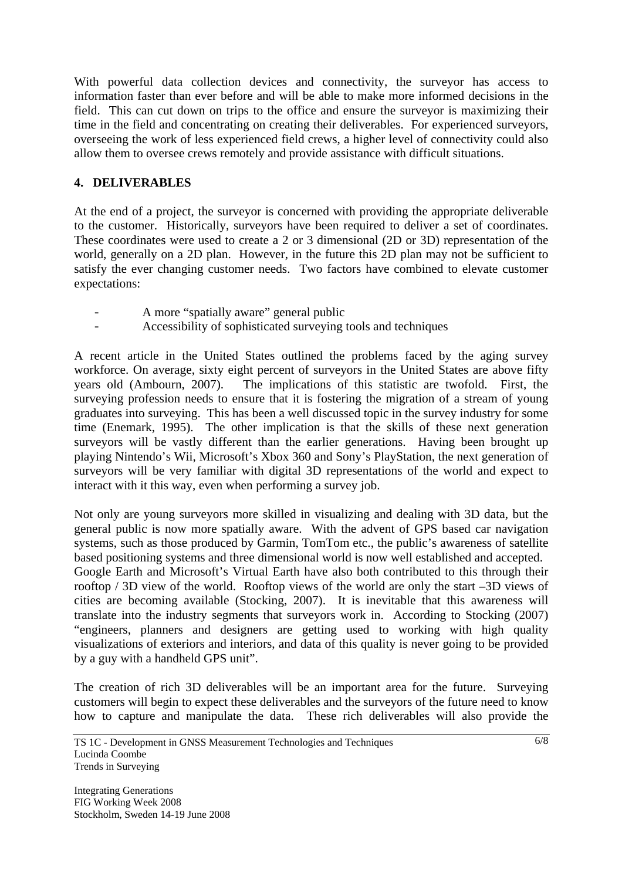With powerful data collection devices and connectivity, the surveyor has access to information faster than ever before and will be able to make more informed decisions in the field. This can cut down on trips to the office and ensure the surveyor is maximizing their time in the field and concentrating on creating their deliverables. For experienced surveyors, overseeing the work of less experienced field crews, a higher level of connectivity could also allow them to oversee crews remotely and provide assistance with difficult situations.

# **4. DELIVERABLES**

At the end of a project, the surveyor is concerned with providing the appropriate deliverable to the customer. Historically, surveyors have been required to deliver a set of coordinates. These coordinates were used to create a 2 or 3 dimensional (2D or 3D) representation of the world, generally on a 2D plan. However, in the future this 2D plan may not be sufficient to satisfy the ever changing customer needs. Two factors have combined to elevate customer expectations:

- A more "spatially aware" general public
- Accessibility of sophisticated surveying tools and techniques

A recent article in the United States outlined the problems faced by the aging survey workforce. On average, sixty eight percent of surveyors in the United States are above fifty years old (Ambourn, 2007). The implications of this statistic are twofold. First, the surveying profession needs to ensure that it is fostering the migration of a stream of young graduates into surveying. This has been a well discussed topic in the survey industry for some time (Enemark, 1995). The other implication is that the skills of these next generation surveyors will be vastly different than the earlier generations. Having been brought up playing Nintendo's Wii, Microsoft's Xbox 360 and Sony's PlayStation, the next generation of surveyors will be very familiar with digital 3D representations of the world and expect to interact with it this way, even when performing a survey job.

Not only are young surveyors more skilled in visualizing and dealing with 3D data, but the general public is now more spatially aware. With the advent of GPS based car navigation systems, such as those produced by Garmin, TomTom etc., the public's awareness of satellite based positioning systems and three dimensional world is now well established and accepted. Google Earth and Microsoft's Virtual Earth have also both contributed to this through their rooftop / 3D view of the world. Rooftop views of the world are only the start –3D views of cities are becoming available (Stocking, 2007). It is inevitable that this awareness will translate into the industry segments that surveyors work in. According to Stocking (2007) "engineers, planners and designers are getting used to working with high quality visualizations of exteriors and interiors, and data of this quality is never going to be provided by a guy with a handheld GPS unit".

The creation of rich 3D deliverables will be an important area for the future. Surveying customers will begin to expect these deliverables and the surveyors of the future need to know how to capture and manipulate the data. These rich deliverables will also provide the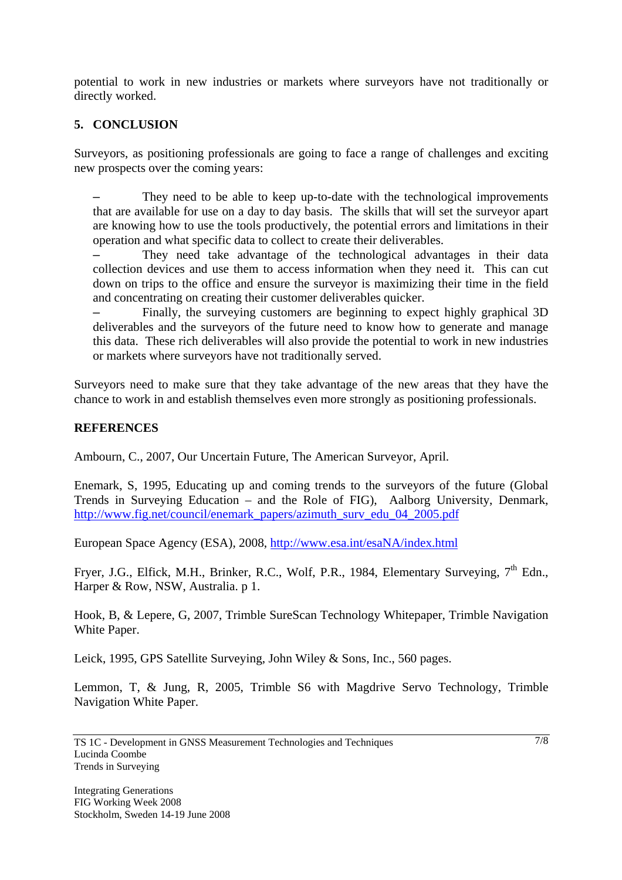potential to work in new industries or markets where surveyors have not traditionally or directly worked.

# **5. CONCLUSION**

Surveyors, as positioning professionals are going to face a range of challenges and exciting new prospects over the coming years:

– They need to be able to keep up-to-date with the technological improvements that are available for use on a day to day basis. The skills that will set the surveyor apart are knowing how to use the tools productively, the potential errors and limitations in their operation and what specific data to collect to create their deliverables.

– They need take advantage of the technological advantages in their data collection devices and use them to access information when they need it. This can cut down on trips to the office and ensure the surveyor is maximizing their time in the field and concentrating on creating their customer deliverables quicker.

– Finally, the surveying customers are beginning to expect highly graphical 3D deliverables and the surveyors of the future need to know how to generate and manage this data. These rich deliverables will also provide the potential to work in new industries or markets where surveyors have not traditionally served.

Surveyors need to make sure that they take advantage of the new areas that they have the chance to work in and establish themselves even more strongly as positioning professionals.

#### **REFERENCES**

Ambourn, C., 2007, Our Uncertain Future, The American Surveyor, April.

Enemark, S, 1995, Educating up and coming trends to the surveyors of the future (Global Trends in Surveying Education – and the Role of FIG), Aalborg University, Denmark, http://www.fig.net/council/enemark\_papers/azimuth\_surv\_edu\_04\_2005.pdf

European Space Agency (ESA), 2008, http://www.esa.int/esaNA/index.html

Fryer, J.G., Elfick, M.H., Brinker, R.C., Wolf, P.R., 1984, Elementary Surveying,  $7<sup>th</sup>$  Edn., Harper & Row, NSW, Australia. p 1.

Hook, B, & Lepere, G, 2007, Trimble SureScan Technology Whitepaper, Trimble Navigation White Paper.

Leick, 1995, GPS Satellite Surveying, John Wiley & Sons, Inc., 560 pages.

Lemmon, T, & Jung, R, 2005, Trimble S6 with Magdrive Servo Technology, Trimble Navigation White Paper.